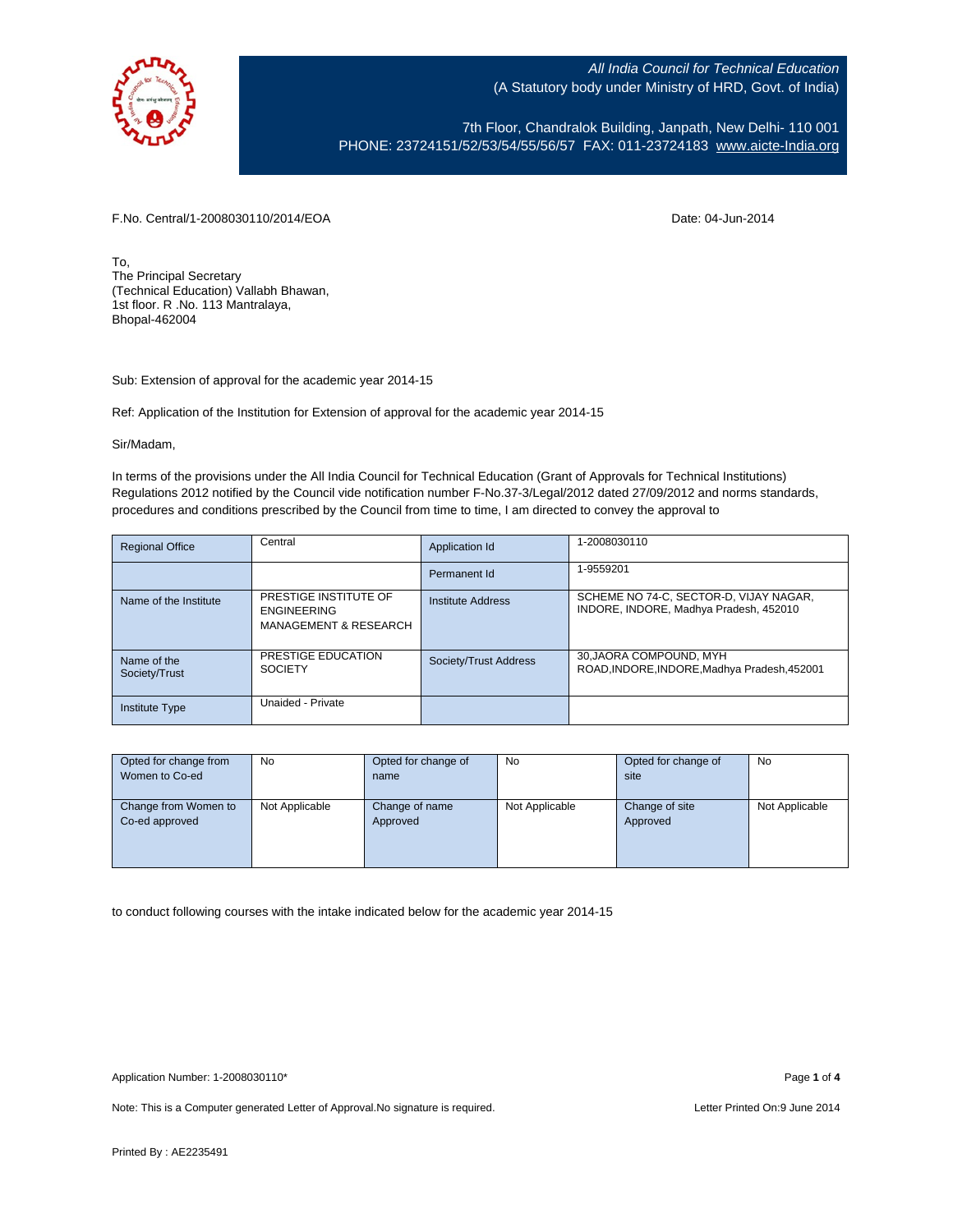

7th Floor, Chandralok Building, Janpath, New Delhi- 110 001 PHONE: 23724151/52/53/54/55/56/57 FAX: 011-23724183 [www.aicte-India.org](http://www.aicte-india.org/)

F.No. Central/1-2008030110/2014/EOA Date: 04-Jun-2014

To, The Principal Secretary (Technical Education) Vallabh Bhawan, 1st floor. R .No. 113 Mantralaya, Bhopal-462004

Sub: Extension of approval for the academic year 2014-15

Ref: Application of the Institution for Extension of approval for the academic year 2014-15

Sir/Madam,

In terms of the provisions under the All India Council for Technical Education (Grant of Approvals for Technical Institutions) Regulations 2012 notified by the Council vide notification number F-No.37-3/Legal/2012 dated 27/09/2012 and norms standards, procedures and conditions prescribed by the Council from time to time, I am directed to convey the approval to

| <b>Regional Office</b>       | Central                                                                         | Application Id        | 1-2008030110                                                                     |
|------------------------------|---------------------------------------------------------------------------------|-----------------------|----------------------------------------------------------------------------------|
|                              |                                                                                 | Permanent Id          | 1-9559201                                                                        |
| Name of the Institute        | PRESTIGE INSTITUTE OF<br><b>ENGINEERING</b><br><b>MANAGEMENT &amp; RESEARCH</b> | Institute Address     | SCHEME NO 74-C, SECTOR-D, VIJAY NAGAR,<br>INDORE, INDORE, Madhya Pradesh, 452010 |
| Name of the<br>Society/Trust | PRESTIGE EDUCATION<br><b>SOCIETY</b>                                            | Society/Trust Address | 30, JAORA COMPOUND, MYH<br>ROAD, INDORE, INDORE, Madhya Pradesh, 452001          |
| <b>Institute Type</b>        | Unaided - Private                                                               |                       |                                                                                  |

| Opted for change from | No             | Opted for change of | No             | Opted for change of | No             |
|-----------------------|----------------|---------------------|----------------|---------------------|----------------|
| Women to Co-ed        |                | name                |                | site                |                |
|                       |                |                     |                |                     |                |
| Change from Women to  | Not Applicable | Change of name      | Not Applicable | Change of site      | Not Applicable |
| Co-ed approved        |                | Approved            |                | Approved            |                |
|                       |                |                     |                |                     |                |
|                       |                |                     |                |                     |                |
|                       |                |                     |                |                     |                |

to conduct following courses with the intake indicated below for the academic year 2014-15

Note: This is a Computer generated Letter of Approval. No signature is required. Letter Printed On:9 June 2014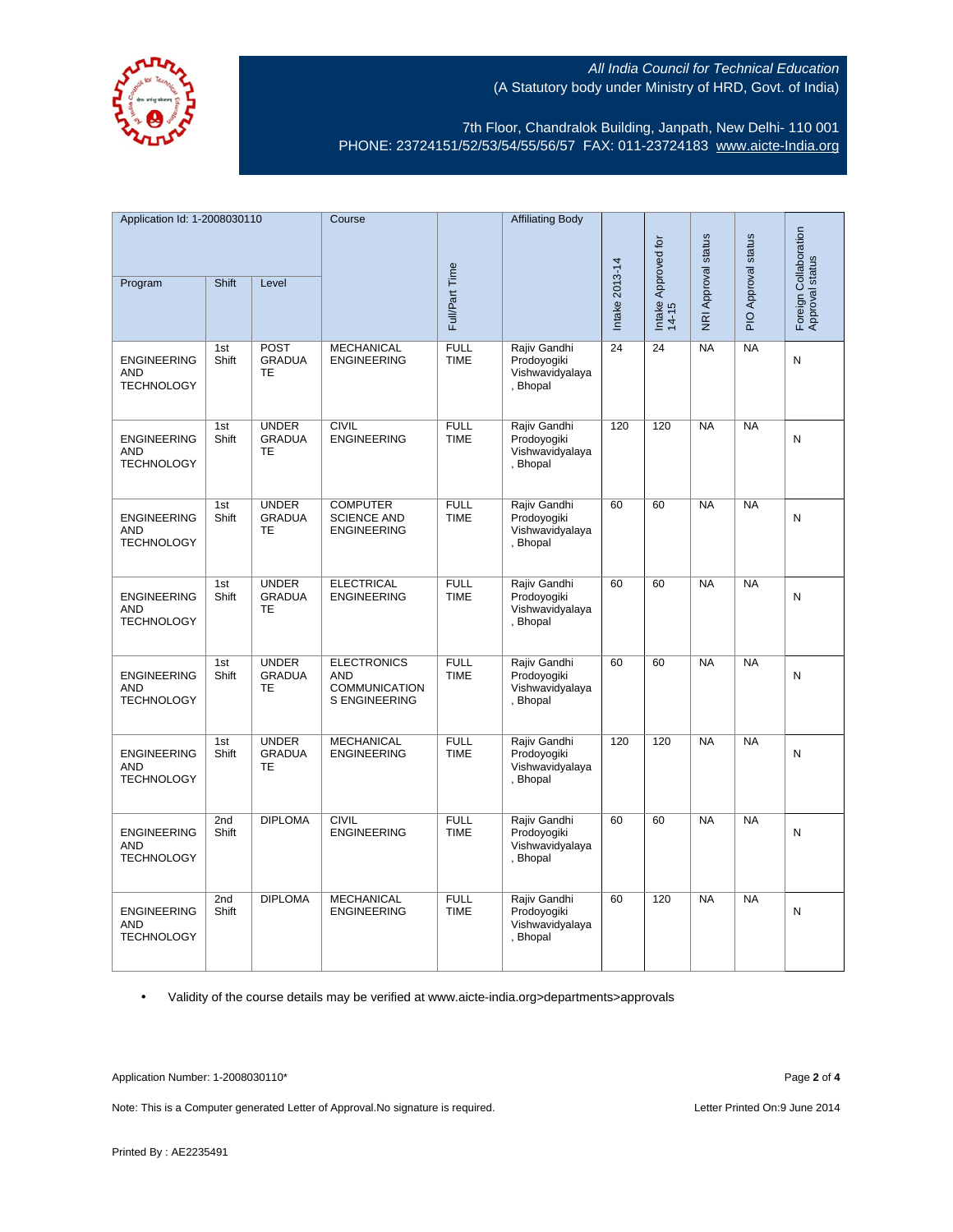

7th Floor, Chandralok Building, Janpath, New Delhi- 110 001 PHONE: 23724151/52/53/54/55/56/57 FAX: 011-23724183 [www.aicte-India.org](http://www.aicte-india.org/)

| Application Id: 1-2008030110                          |              | Course                                     |                                                                                  | <b>Affiliating Body</b>    |                                                            |                              |                     |                     |                                          |           |
|-------------------------------------------------------|--------------|--------------------------------------------|----------------------------------------------------------------------------------|----------------------------|------------------------------------------------------------|------------------------------|---------------------|---------------------|------------------------------------------|-----------|
| Shift<br>Level<br>Program                             |              |                                            |                                                                                  |                            |                                                            | Intake Approved for<br>14-15 | NRI Approval status | PIO Approval status | Foreign Collaboration<br>Approval status |           |
|                                                       |              |                                            |                                                                                  | Full/Part Time             |                                                            | Intake 2013-14               |                     |                     |                                          |           |
| <b>ENGINEERING</b><br><b>AND</b><br><b>TECHNOLOGY</b> | 1st<br>Shift | <b>POST</b><br><b>GRADUA</b><br><b>TE</b>  | <b>MECHANICAL</b><br><b>ENGINEERING</b>                                          | <b>FULL</b><br><b>TIME</b> | Rajiv Gandhi<br>Prodoyogiki<br>Vishwavidyalaya<br>, Bhopal | 24                           | 24                  | <b>NA</b>           | <b>NA</b>                                | ${\sf N}$ |
| <b>ENGINEERING</b><br><b>AND</b><br><b>TECHNOLOGY</b> | 1st<br>Shift | <b>UNDER</b><br><b>GRADUA</b><br>TE        | <b>CIVIL</b><br><b>ENGINEERING</b>                                               | <b>FULL</b><br><b>TIME</b> | Rajiv Gandhi<br>Prodoyogiki<br>Vishwavidyalaya<br>, Bhopal | 120                          | 120                 | NA                  | NA                                       | N         |
| <b>ENGINEERING</b><br><b>AND</b><br><b>TECHNOLOGY</b> | 1st<br>Shift | <b>UNDER</b><br><b>GRADUA</b><br><b>TE</b> | <b>COMPUTER</b><br><b>SCIENCE AND</b><br><b>ENGINEERING</b>                      | <b>FULL</b><br><b>TIME</b> | Rajiv Gandhi<br>Prodoyogiki<br>Vishwavidyalaya<br>, Bhopal | 60                           | 60                  | <b>NA</b>           | <b>NA</b>                                | N         |
| <b>ENGINEERING</b><br><b>AND</b><br><b>TECHNOLOGY</b> | 1st<br>Shift | <b>UNDER</b><br><b>GRADUA</b><br><b>TE</b> | <b>ELECTRICAL</b><br><b>ENGINEERING</b>                                          | <b>FULL</b><br><b>TIME</b> | Rajiv Gandhi<br>Prodoyogiki<br>Vishwavidyalaya<br>, Bhopal | 60                           | 60                  | <b>NA</b>           | <b>NA</b>                                | N         |
| <b>ENGINEERING</b><br><b>AND</b><br><b>TECHNOLOGY</b> | 1st<br>Shift | <b>UNDER</b><br><b>GRADUA</b><br>TE        | <b>ELECTRONICS</b><br><b>AND</b><br><b>COMMUNICATION</b><br><b>S ENGINEERING</b> | <b>FULL</b><br><b>TIME</b> | Rajiv Gandhi<br>Prodovogiki<br>Vishwavidyalaya<br>, Bhopal | 60                           | 60                  | <b>NA</b>           | NA                                       | N         |
| <b>ENGINEERING</b><br><b>AND</b><br><b>TECHNOLOGY</b> | 1st<br>Shift | <b>UNDER</b><br><b>GRADUA</b><br>TE        | <b>MECHANICAL</b><br><b>ENGINEERING</b>                                          | <b>FULL</b><br><b>TIME</b> | Rajiv Gandhi<br>Prodoyogiki<br>Vishwavidyalaya<br>, Bhopal | 120                          | 120                 | <b>NA</b>           | NA                                       | N         |
| <b>ENGINEERING</b><br><b>AND</b><br><b>TECHNOLOGY</b> | 2nd<br>Shift | <b>DIPLOMA</b>                             | <b>CIVIL</b><br><b>ENGINEERING</b>                                               | <b>FULL</b><br><b>TIME</b> | Rajiv Gandhi<br>Prodoyogiki<br>Vishwavidyalaya<br>, Bhopal | 60                           | 60                  | <b>NA</b>           | <b>NA</b>                                | Ν         |
| <b>ENGINEERING</b><br><b>AND</b><br><b>TECHNOLOGY</b> | 2nd<br>Shift | <b>DIPLOMA</b>                             | <b>MECHANICAL</b><br><b>ENGINEERING</b>                                          | <b>FULL</b><br><b>TIME</b> | Rajiv Gandhi<br>Prodoyogiki<br>Vishwavidyalaya<br>, Bhopal | 60                           | 120                 | NA                  | NA                                       | N         |

• Validity of the course details may be verified at www.aicte-india.org>departments>approvals

Application Number: 1-2008030110\* Page **2** of **4**

Note: This is a Computer generated Letter of Approval.No signature is required. <br>
Letter Printed On:9 June 2014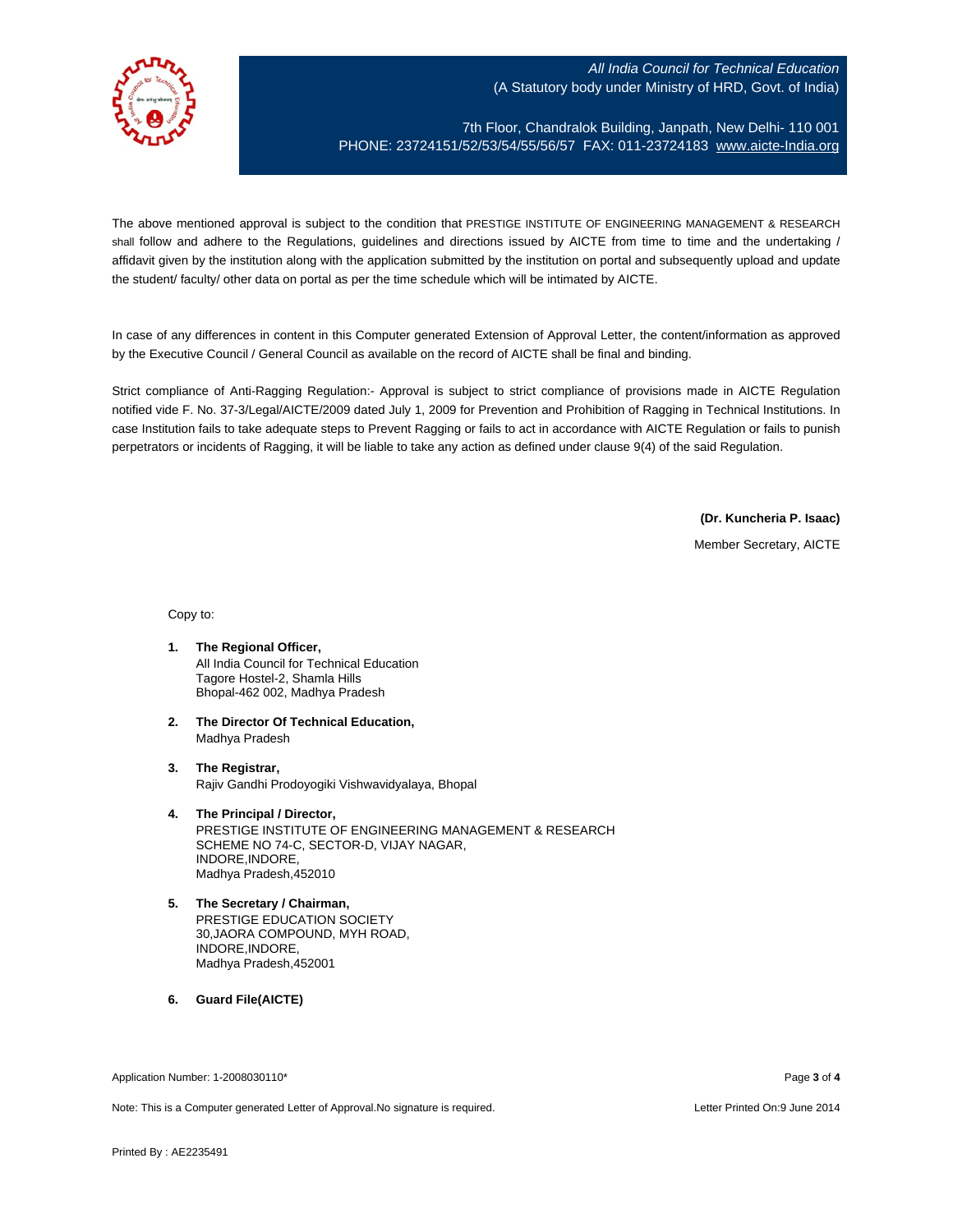

7th Floor, Chandralok Building, Janpath, New Delhi- 110 001 PHONE: 23724151/52/53/54/55/56/57 FAX: 011-23724183 [www.aicte-India.org](http://www.aicte-india.org/)

The above mentioned approval is subject to the condition that PRESTIGE INSTITUTE OF ENGINEERING MANAGEMENT & RESEARCH shall follow and adhere to the Regulations, guidelines and directions issued by AICTE from time to time and the undertaking / affidavit given by the institution along with the application submitted by the institution on portal and subsequently upload and update the student/ faculty/ other data on portal as per the time schedule which will be intimated by AICTE.

In case of any differences in content in this Computer generated Extension of Approval Letter, the content/information as approved by the Executive Council / General Council as available on the record of AICTE shall be final and binding.

Strict compliance of Anti-Ragging Regulation:- Approval is subject to strict compliance of provisions made in AICTE Regulation notified vide F. No. 37-3/Legal/AICTE/2009 dated July 1, 2009 for Prevention and Prohibition of Ragging in Technical Institutions. In case Institution fails to take adequate steps to Prevent Ragging or fails to act in accordance with AICTE Regulation or fails to punish perpetrators or incidents of Ragging, it will be liable to take any action as defined under clause 9(4) of the said Regulation.

**(Dr. Kuncheria P. Isaac)**

Member Secretary, AICTE

Copy to:

- **1. The Regional Officer,** All India Council for Technical Education Tagore Hostel-2, Shamla Hills Bhopal-462 002, Madhya Pradesh
- **2. The Director Of Technical Education,** Madhya Pradesh
- **3. The Registrar,** Rajiv Gandhi Prodoyogiki Vishwavidyalaya, Bhopal
- **4. The Principal / Director,** PRESTIGE INSTITUTE OF ENGINEERING MANAGEMENT & RESEARCH SCHEME NO 74-C, SECTOR-D, VIJAY NAGAR, INDORE,INDORE, Madhya Pradesh,452010
- **5. The Secretary / Chairman,** PRESTIGE EDUCATION SOCIETY 30,JAORA COMPOUND, MYH ROAD, INDORE,INDORE, Madhya Pradesh,452001
- **6. Guard File(AICTE)**

Application Number: 1-2008030110\* Page **3** of **4**

Note: This is a Computer generated Letter of Approval.No signature is required. Letter Printed On:9 June 2014